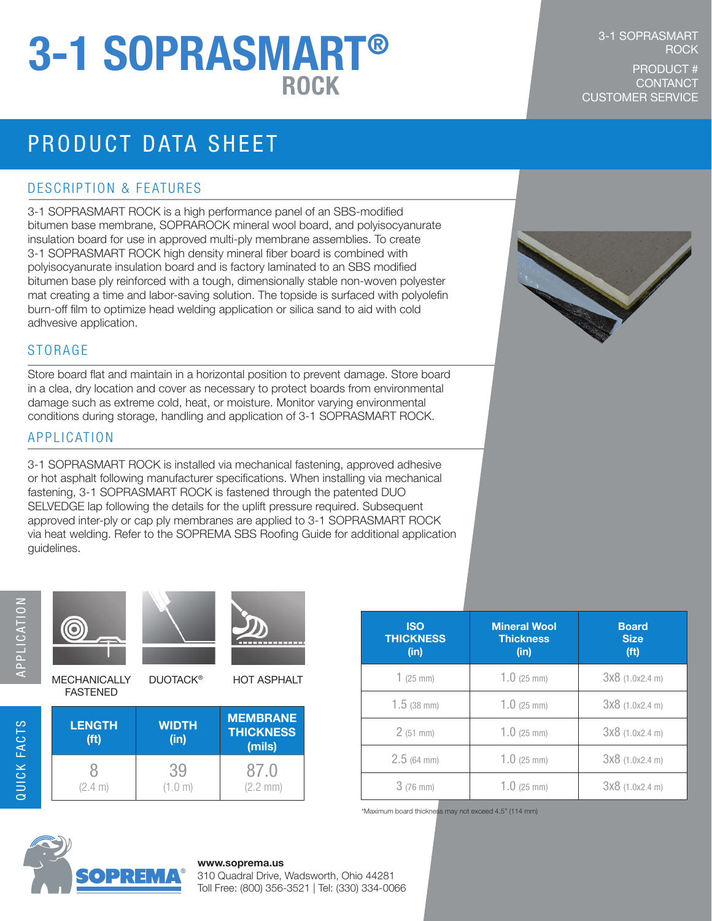# 3-1 SOPRASMART®

## PRODUCT DATA SHEET

#### DESCRIPTION & FEATURES

3-1 SOPRASMART ROCK is a high performance panel of an SBS-modified bitumen base membrane, SOPRAROCK mineral wool board, and polyisocyanurate insulation board for use in approved multi-ply membrane assemblies. To create 3-1 SOPRASMART ROCK high density mineral fiber board is combined with polyisocyanurate insulation board and is factory laminated to an SBS modified bitumen base ply reinforced with a tough, dimensionally stable non-woven polyester mat creating a time and labor-saving solution. The topside is surfaced with polyolefin burn-off film to optimize head welding application or silica sand to aid with cold adhvesive application.

#### STORAGE

Store board flat and maintain in a horizontal position to prevent damage. Store board in a clea, dry location and cover as necessary to protect boards from environmental damage such as extreme cold, heat, or moisture. Monitor varying environmental conditions during storage, handling and application of 3-1 SOPRASMART ROCK.

#### APPLICATION

3-1 SOPRASMART ROCK is installed via mechanical fastening, approved adhesive or hot asphalt following manufacturer specifications. When installing via mechanical fastening, 3-1 SOPRASMART ROCK is fastened through the patented DUO SELVEDGE lap following the details for the uplift pressure required. Subsequent approved inter-ply or cap ply membranes are applied to 3-1 SOPRASMART ROCK via heat welding. Refer to the SOPREMA SBS Roofing Guide for additional application guidelines.



QUICK FACTS



MECHANICALLY FASTENED



DUOTACK<sup>®</sup> HOT ASPHALT

| <b>LENGTH</b><br>(f <sup>t</sup> ) | <b>WIDTH</b><br>(in) | <b>MEMBRANE</b><br><b>THICKNESS</b><br>(mils) |
|------------------------------------|----------------------|-----------------------------------------------|
| (2.4 m)                            | 39<br>(1.0 m)        | 87.0<br>$(2.2 \, \text{mm})$                  |

| <b>ISO</b><br><b>THICKNESS</b><br>(in) | <b>Mineral Wool</b><br><b>Thickness</b><br>(in) | <b>Board</b><br><b>Size</b><br>(f <sup>t</sup> ) |
|----------------------------------------|-------------------------------------------------|--------------------------------------------------|
| $1$ (25 mm)                            | $1.0$ (25 mm)                                   | $3x8$ (1.0x2.4 m)                                |
| $1.5$ (38 mm)                          | $1.0$ (25 mm)                                   | 3x8 (1.0x2.4 m)                                  |
| 2(51 mm)                               | $1.0$ (25 mm)                                   | $3x8$ (1.0x2.4 m)                                |
| $2.5(64)$ mm)                          | $1.0$ (25 mm)                                   | 3x8 (1.0x2.4 m)                                  |
| $3(76)$ mm)                            | $1.0$ (25 mm)                                   | $3x8$ (1.0x2.4 m)                                |

\*Maximum board thickness may not exceed 4.5" (114 mm)



#### **www.soprema.us**

310 Quadral Drive, Wadsworth, Ohio 44281 Toll Free: (800) 356-3521 | Tel: (330) 334-0066

#### **ROCK** PRODUCT # ROCK CONTANCT

3-1 SOPRASMART